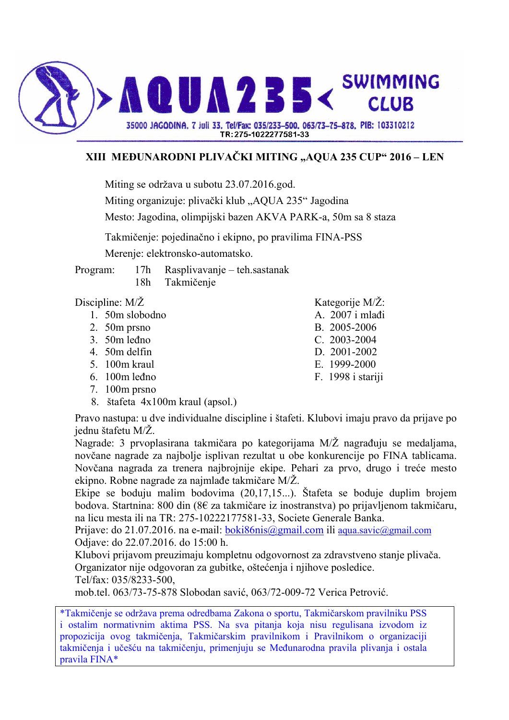

## **XIII MEðUNARODNI PLIVAČKI MITING "AQUA 235 CUP" 2016 – LEN**

Miting se održava u subotu 23.07.2016.god.

Miting organizuje: plivački klub "AQUA 235" Jagodina

Mesto: Jagodina, olimpijski bazen AKVA PARK-a, 50m sa 8 staza

Takmičenje: pojedinačno i ekipno, po pravilima FINA-PSS

Merenje: elektronsko-automatsko.

Program: 17h Rasplivavanje – teh.sastanak 18h Takmičenje

- $1.50m$  slobodno
- 2. 50m prsno B. 2005-2006
- 3. 50m leñno C. 2003-2004
- 4. 50m delfin D. 2001-2002
- 5. 100m kraul E. 1999-2000
- 6. 100m leñno F. 1998 i stariji
- 7. 100m prsno
- 8. štafeta 4x100m kraul (apsol.)

Pravo nastupa: u dve individualne discipline i štafeti. Klubovi imaju pravo da prijave po jednu štafetu M/Ž.

Nagrade: 3 prvoplasirana takmičara po kategorijama  $M/Z$  nagrađuju se medaljama, novčane nagrade za najbolje isplivan rezultat u obe konkurencije po FINA tablicama. Novčana nagrada za trenera najbrojnije ekipe. Pehari za prvo, drugo i treće mesto ekipno. Robne nagrade za najmlađe takmičare  $M/Z$ .

Ekipe se boduju malim bodovima (20,17,15...). Štafeta se boduje duplim brojem bodova. Startnina: 800 din (8€ za takmičare iz inostranstva) po prijavljenom takmičaru, na licu mesta ili na TR: 275-10222177581-33, Societe Generale Banka.

Prijave: do 21.07.2016. na e-mail: boki86nis@gmail.com ili aqua.savic@gmail.com Odjave: do 22.07.2016. do 15:00 h.

Klubovi prijavom preuzimaju kompletnu odgovornost za zdravstveno stanje plivača. Organizator nije odgovoran za gubitke, oštećenja i njihove posledice.

Tel/fax: 035/8233-500,

mob.tel. 063/73-75-878 Slobodan savić, 063/72-009-72 Verica Petrović.

\*Takmičenje se održava prema odredbama Zakona o sportu, Takmičarskom pravilniku PSS i ostalim normativnim aktima PSS. Na sva pitanja koja nisu regulisana izvodom iz propozicija ovog takmičenja, Takmičarskim pravilnikom i Pravilnikom o organizaciji takmičenja i učešću na takmičenju, primenjuju se Meñunarodna pravila plivanja i ostala pravila FINA\*

- Discipline: M/Ž<br>
1 50m slobodno<br>
A 2007 i mlađi
	-
	-
	-
	-